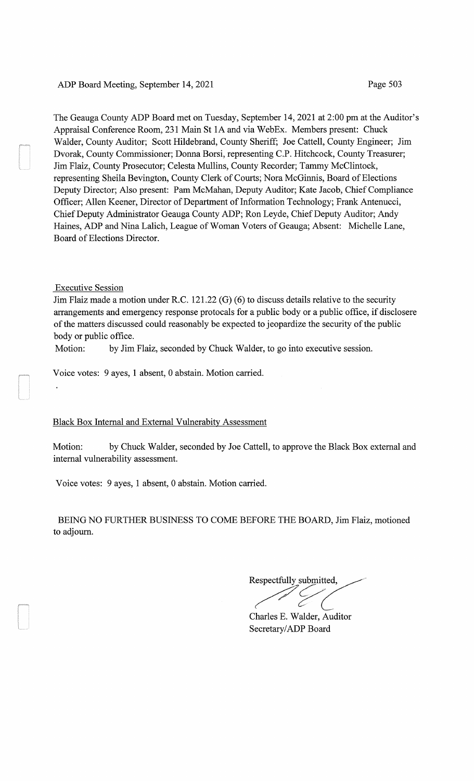The Geauga County ADP Board met on Tuesday, September 14, 2021 at 2:00 pm at the Auditor's Appraisal Conference Room, 231 Main St 1A and via WebEx. Members present: Chuck Walder, County Auditor; Scott Hildebrand, County Sheriff; Joe Cattell, County Engineer; Jim Dvorak, County Commissioner; Donna Borsi, representing C.P. Hitchcock, County Treasurer; Jim Flaiz, County Prosecutor; Celesta Mullins, County Recorder; Tammy McClintock, representing Sheila Bevington, County Clerk of Courts; Nora McGinnis, Board of Elections Deputy Director; Also present: Pam McMahan, Deputy Auditor; Kate Jacob, Chief Compliance Officer; Allen Keener, Director of Department of Information Technology; Frank Antenucci, Chief Deputy Administrator Geauga County ADP; Ron Leyde, Chief Deputy Auditor; Andy Haines, ADP and Nina Lalich, League of Woman Voters of Geauga; Absent: Michelle Lane, Board of Elections Director.

## Executive Session

Jim Flaiz made a motion under R.C. 121.22 (G) (6) to discuss details relative to the security arrangements and emergency response protocals for a public body or a public office, if disclosere of the matters discussed could reasonably be expected to jeopardize the security of the public body or public office.

Motion: by Jim Flaiz, seconded by Chuck Walder, to go into executive session.

Voice votes: 9 ayes, 1 absent, 0 abstain. Motion carried.

## Black Box Internal and External Vulnerabity Assessment

Motion: by Chuck Walder, seconded by Joe Cattell, to approve the Black Box external and internal vulnerability assessment.

Voice votes: 9 ayes, 1 absent, 0 abstain. Motion carried.

BEING NO FURTHER BUSINESS TO COME BEFORE THE BOARD, Jim Flaiz, motioned to adjourn.

Respectfully submitted, Respectfully submitted,<br>
Charles E. Walder, Auditor

Secretary/ADP Board